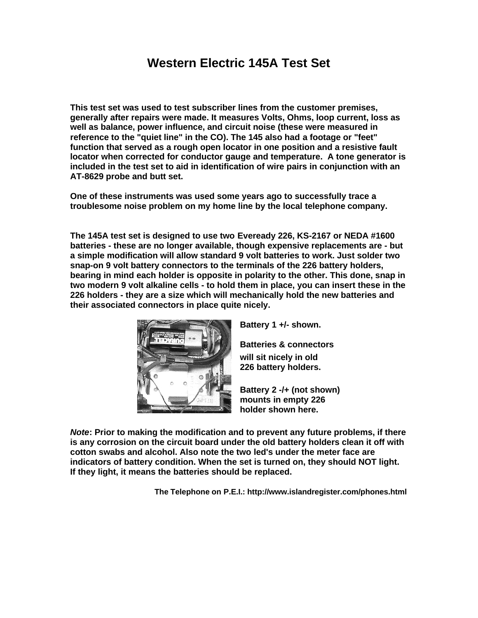# **Western Electric 145A Test Set**

**This test set was used to test subscriber lines from the customer premises, generally after repairs were made. It measures Volts, Ohms, loop current, loss as well as balance, power influence, and circuit noise (these were measured in reference to the "quiet line" in the CO). The 145 also had a footage or "feet" function that served as a rough open locator in one position and a resistive fault locator when corrected for conductor gauge and temperature. A tone generator is included in the test set to aid in identification of wire pairs in conjunction with an AT-8629 probe and butt set.**

**One of these instruments was used some years ago to successfully trace a troublesome noise problem on my home line by the local telephone company.**

**The 145A test set is designed to use two Eveready 226, KS-2167 or NEDA #1600 batteries - these are no longer available, though expensive replacements are - but a simple modification will allow standard 9 volt batteries to work. Just solder two snap-on 9 volt battery connectors to the terminals of the 226 battery holders, bearing in mind each holder is opposite in polarity to the other. This done, snap in two modern 9 volt alkaline cells - to hold them in place, you can insert these in the 226 holders - they are a size which will mechanically hold the new batteries and their associated connectors in place quite nicely.**



**Battery 1 +/- shown.**

**Batteries & connectors will sit nicely in old**

**226 battery holders.**

**Battery 2 -/+ (not shown) mounts in empty 226 holder shown here.**

*Note***: Prior to making the modification and to prevent any future problems, if there is any corrosion on the circuit board under the old battery holders clean it off with cotton swabs and alcohol. Also note the two led's under the meter face are indicators of battery condition. When the set is turned on, they should NOT light. If they light, it means the batteries should be replaced.**

**The Telephone on P.E.I.: http://www.islandregister.com/phones.html**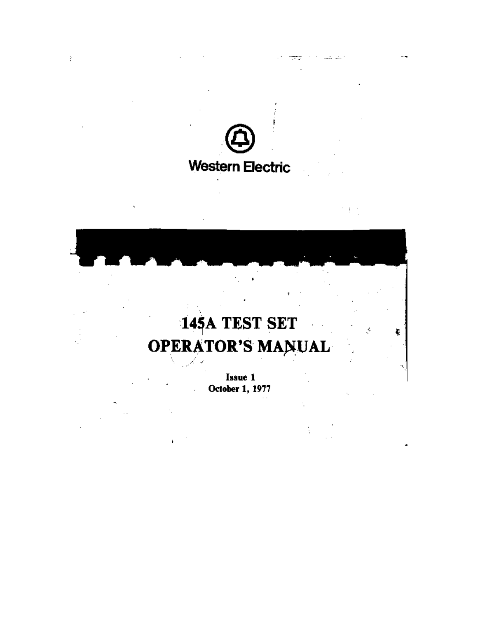

 $\mathcal{E}^{\mathcal{E}}$ 

المتفارقتين

145A TEST SET ķ, **OPERATOR'S MANUAL** 

> Issue 1 October 1, 1977

1. se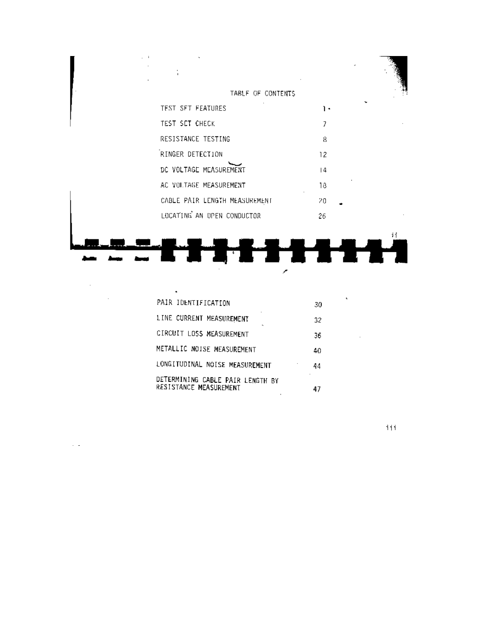| $1 - 1$ |                               |    |    |
|---------|-------------------------------|----|----|
|         | TABLE OF CONTENTS             |    |    |
|         | TEST SFT FEATURES             | ۱۰ |    |
|         | TEST SET CHECK                | 7  |    |
|         | RESISTANCE TESTING            | 8  |    |
|         | RINGER DETECTION              | 12 |    |
|         | DC VOLTAGE MEASUREMENT        | 4  |    |
|         | AC VOLTAGE MEASUREMENT        | 18 |    |
|         | CABLE PAIR LENGTH MEASUREMENT | 20 |    |
|         | LOCATING AN UPEN CONDUCTOR    | 26 |    |
|         |                               |    | ij |
|         |                               |    |    |
|         |                               |    |    |

| ٠                                                          |         |
|------------------------------------------------------------|---------|
| PAIR IDENTIFICATION                                        | ۰<br>30 |
| LINE CURRENT MEASUREMENT<br>$\sim$                         | 32      |
| CIRCUIT LOSS MEASUREMENT                                   | 36      |
| METALLIC NOISE MEASUREMENT                                 | 40      |
| LONGITUDINAL NOISE MEASUREMENT                             | 44      |
| DETERMINING CABLE PAIR LENGTH BY<br>RESISTANCE MEASUREMENT | 47      |

 $\mathcal{L}^{\text{max}}_{\text{max}}$  , where  $\mathcal{L}^{\text{max}}_{\text{max}}$ 

 $\overline{a}$ 

 $iii$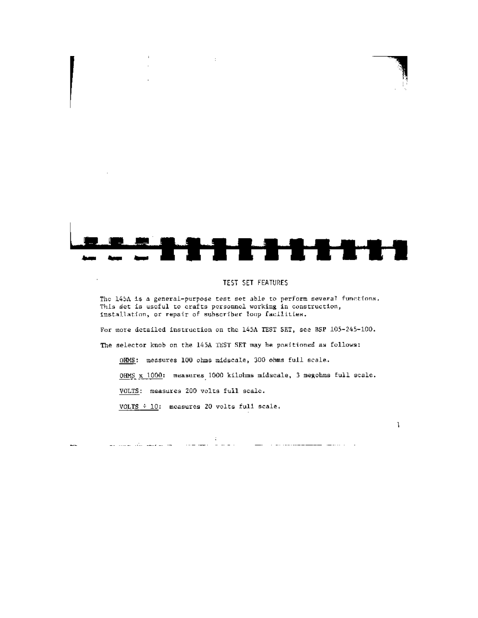

 $\cdot$ 

# TEST SET FEATURES

The 145A is a general-purpose test set able to perform several functions. This set is useful to crafts personnel working in construction, installation, or repair of subscriber loop facilities.

For more detailed instruction on the 145A TEST SET, see BSP 105-245-100.

The selector knob on the 145A TEST SET may be positioned as follows:

OHMS: measures 100 ohms midscale, 300 ohms full scale.

 $\sim 40$ 

المنادر والمنفس المستقلم المستقلة مساورة والمستقلة أنتأل أواد والمستقلة والمستقل المستقلة المتأمر المستمر المتأ

OHMS x 1000: measures 1000 kilohms midscale, 3 megohms full scale.

 $\mathbf{I}$ 

VOLTS: measures 200 volts full scale.

للمسا

VOLTS  $\div$  10: measures 20 volts full scale.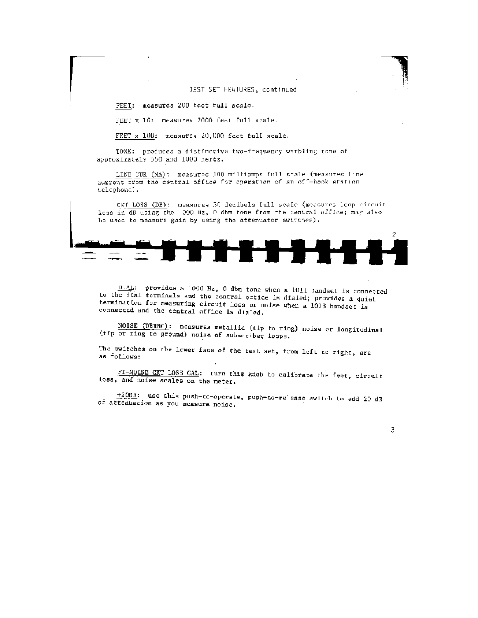#### TEST SET FEATURES, continued

FEET: measures 200 feet full scale.

FEET x 10: measures 2000 feet full scale.

FEET x 100: measures 20,000 feet full scale.

TONE: produces a distinctive two-frequency warbling tone of approximately 550 and 1000 hertz.

LINE CUR (MA): measures 100 milliamps full scale (measures line current from the central office for operation of an off-hook station. telephone).

CKT LOSS (DB): measures 30 decibels full scale (measures loop circuit loss in dB using the 1000 Hz, 0 dhm tone from the central office; may also be used to measure gain by using the attenuator switches).



 $\underline{\text{DIAL}}$ : provides a 1000 Hz, 0 dbm tone when a 1011 handset is connected Lo the dial terminals and the central office is dialed; provides a quiet termination for measuring circuit loss or noise when a 1013 handset is connected and the central office is dialed.

NOISE (DBRNC): measures metallic (tip to ring) noise or longitudinal (tip or ring to ground) noise of subscriber loops.

The switches on the lower face of the test set, from left to right, are as follows:

FT-NOISE CKT LOSS CAL: turn this knob to calibrate the feet, circuit loss, and noise scales on the meter.

+200B: use this push-to-operate, push-to-release switch to add 20 dB of attenuation as you measure noise.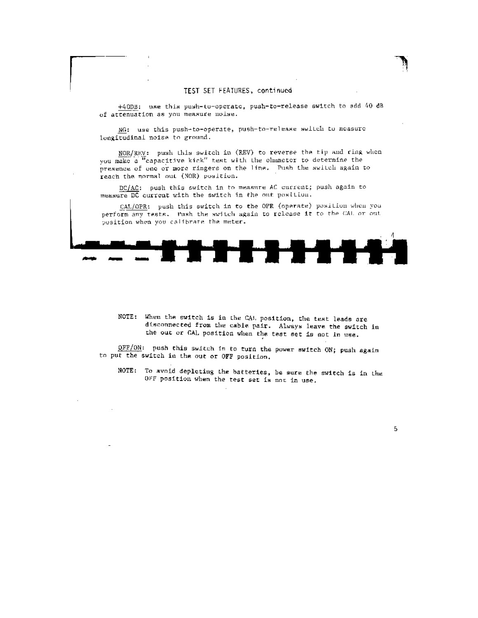#### TEST SET FEATURES, continued

+40DB: use this push-to-operate, push-to-release switch to add 40 dB of attenuation as you measure noise.

NG: use this push-to-operate, push-to-release switch to measure longitudinal noise to ground.

NOR/REV: push this switch in (REV) to reverse the tip and ring when you make a "capacitive kick" test with the olnumeter to determine the presence of one or more ringers on the line. Push the switch again to reach the normal out (NOR) position.

DC/AC: push this switch in to measure AC current; push again to measure DC current with the switch in the out position.

CAL/OPR: push this switch in to the OPR (operate) position when you perform any tests. Push the switch again to release it to the CAL or out pusition when you calibrate the meter.



NOTE: When the switch is in the CAL position, the test leads are disconnected from the cable pair. Always leave the switch in the out or CAL position when the test set is not in use.

OFF/ON: push this switch in to turn the power switch ON; push again to put the switch in the out or OFF position.

NOTE: To avoid depleting the batteries, be sure the switch is in the OFF position when the test set is not in use.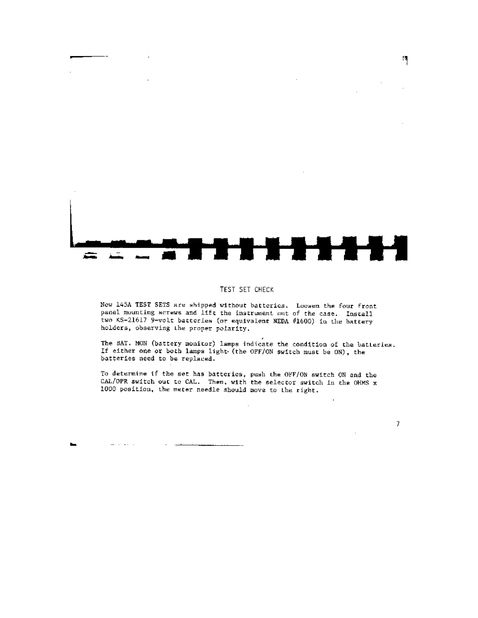

 $\mathbb{R}$ 

#### TEST SET CHECK

New 145A TEST SETS are shipped without batteries. Loosen the four front panel mounting screws and lift the instrument out of the case. Install two KS-21617 9-volt batteries (or equivalent NEDA #1600) in the battery holders, observing the proper polarity.

The BAT. MON (battery monitor) lamps indicate the condition of the batteries. If either one or both lamps light (the OFF/ON switch must be ON), the batteries need to be replaced.

 $\cdot$ 

7

To determine if the set has batteries, push the OFF/ON switch ON and the CAL/OPR switch out to CAL. Then, with the selector switch in the OHMS x 1000 position, the meter needle should move to the right.

ь.  $\Delta \Delta \phi = \Delta \phi + \Delta \phi + \Delta \phi$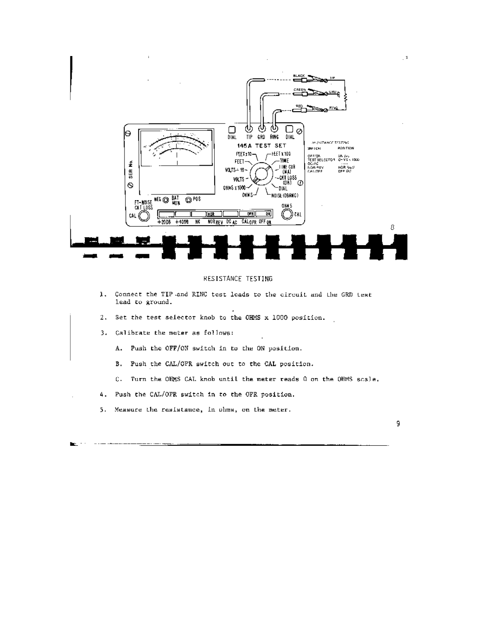

#### RESISTANCE TESTING

- 1. Connect the TIP and RINC test leads to the circuit and the GRD test lead to ground.
- 2. Set the test selector knob to the OHMS x 1000 position.
- 3. Calibrate the meter as follows:
	- A. Push the OFF/ON switch in to the ON position.
	- B. Push the CAL/OPR switch out to the CAL position.
	- C. Turn the OHMS CAL knob until the meter reads 0 on the OHMS scale.
- 4. Push the CAL/OFR switch in to the OFR position.
	- 5. Measure the resistance, in ohms, on the meter.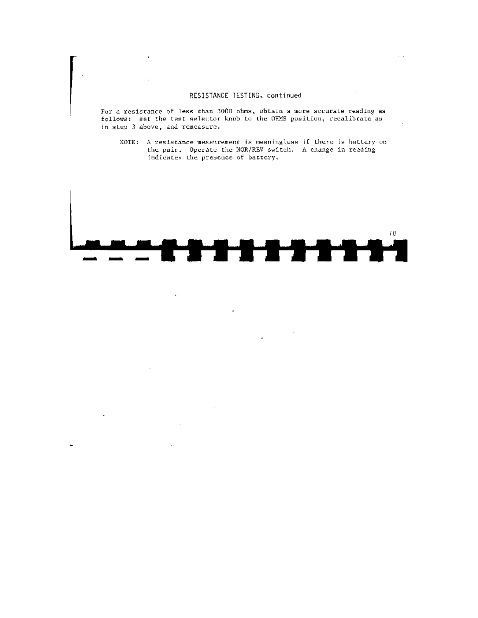# RESISTANCE TESTING, continued

 $\sim$   $\sim$ 

 $\mathcal{L}$ 

 $\cdot$ 

For a resistance of less than 3000 ohms, obtain a more accurate reading as follows: set the test selector knob to the OHMS position, recalibrate as in step 3 above, and remeasure.

NOTE: A resistance measurement is meaningless if there is battery on<br>the pair. Operate the NOR/REV switch. A change in reading indicates the presence of battery.

![](_page_8_Figure_3.jpeg)

 $\ddot{\phantom{a}}$ 

l,

L.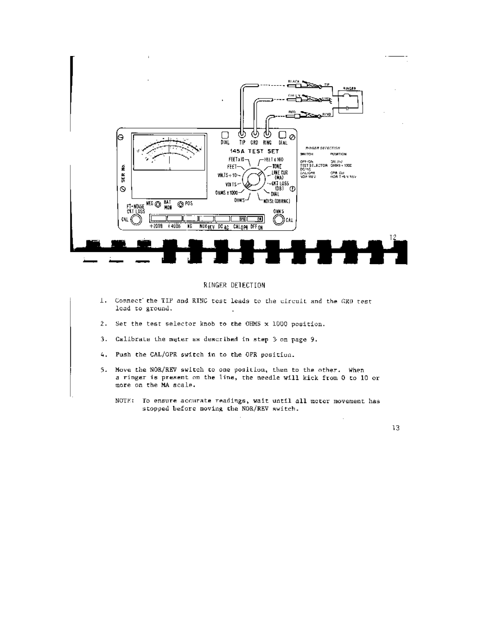![](_page_9_Figure_0.jpeg)

# RINGER DETECTION

- 1. Connect the TIP and RING test leads to the circuit and the GRD test lead to ground.
- 2. Set the test selector knob to the OHMS x 1000 position.
- 3. Calibrate the meter as described in step 3 on page 9.
- 4. Push the CAL/OPR switch in to the OPR position.
- 5. Move the NOR/REV switch to one position, then to the other. When a ringer is present on the line, the needle will kick from 0 to 10 or more on the MA scale.
	- NOTE: To ensure accurate readings, wait until all meter movement has stopped before moving the NOR/REV switch.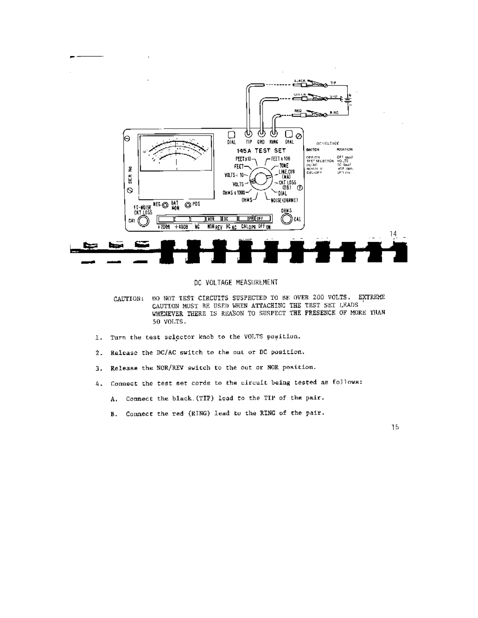![](_page_10_Figure_0.jpeg)

DC VOLTAGE MEASUREMENT

- 00 NOT TEST CIRCUITS SUSPECTED TO BE OVER 200 VOLTS. EXTREME CAUTION: CAUTION MUST BE USED WHEN ATTACHING THE TEST SET LEADS WHENEVER THERE IS REASON TO SUSPECT THE PRESENCE OF MORE THAN 50 VOLTS.
- Turn the test selector knob to the VOLTS position. 1.
- Release the DC/AC switch to the out or DC position.  $2.$
- Release the NOR/REV switch to the out or NOR position. 3.
- 4. Connect the test set cords to the circuit being tested as follows:
	- A. Connect the black. (TIP) lead to the TIP of the pair.
	- B. Connect the red (RING) lead to the RING of the pair.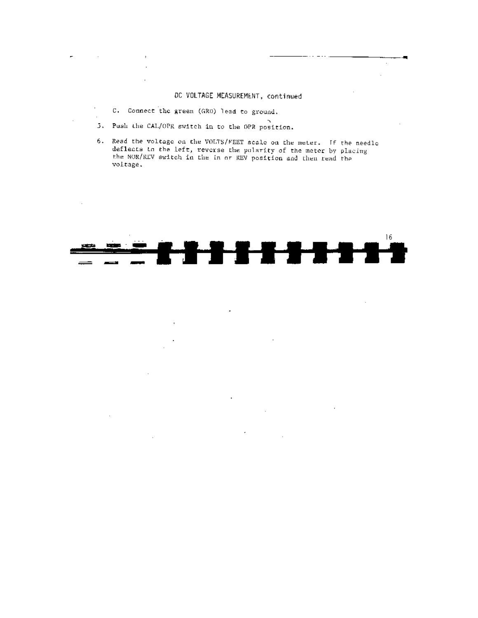# DC VOLTAGE MEASUREMENT, continued

 $\bar{z}$  $\bar{z}$ 

 $\sim$   $\sim$ 

 $\sim$ 

C. Connect the green (GRD) lead to ground.

 $\overline{\phantom{a}}$ 

**Contract** 

 $\mathcal{L}^{\mathcal{L}}$ 

 $\ddot{\phantom{a}}$ 

 $\cdot$ 

5. Push the CAL/OPR switch in to the OPR position.

 $\bar{1}$ 

 $\sim$ 

6. Read the voltage on the VOLTS/FEET scale on the meter. If the needle deflects to the left, reverse the polarity of the meter by placing the NOR/REV switch in the in or REV position and then read the voltage.

![](_page_11_Figure_4.jpeg)

 $\sim 10^7$ 

ä,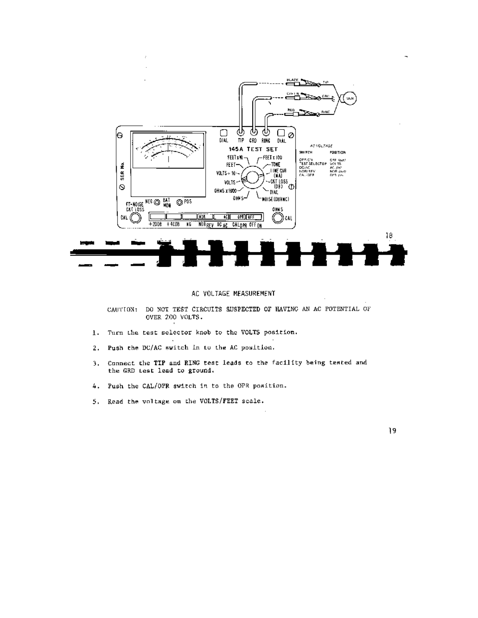![](_page_12_Figure_0.jpeg)

#### AC VOLTAGE MEASUREMENT

CAUTION: DO NOT TEST CIRCUITS SUSPECTED OF HAVING AN AC POTENTIAL OF OVER 200 VOLTS.

- Turn the test selector knob to the VOLTS position. 1.
- Push the DC/AC switch In to the AC position.  $2.$
- Connect the TIP and RING test leads to the facility being tested and 3. the GRD test lead to ground.
- Push the CAL/OPR switch in to the OPR position. 4.
- Read the voltage on the VOLTS/FEET scale. 5.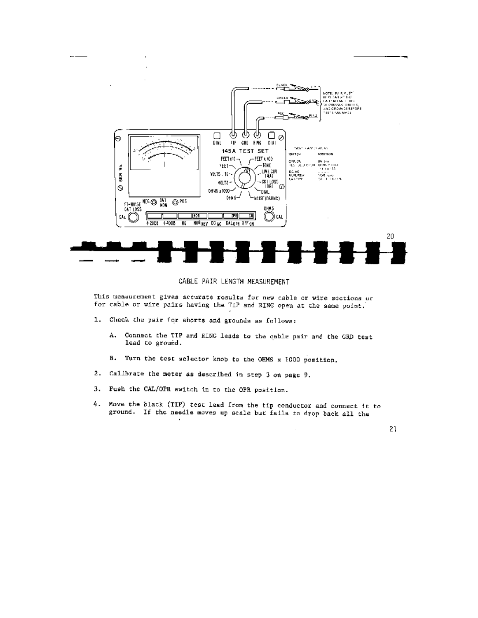![](_page_13_Figure_0.jpeg)

# CABLE PAIR LENGTH MEASUREMENT

This measurement gives accurate results for new cable or wire sections or for cable or wire pairs having the TIP and RING open at the same point.

- 1. Check the pair for shorts and grounds as follows:
	- Connect the TIP and RING leads to the cable pair and the GRD test Α. lead to ground.
	- B. Turn the test selector knob to the OHMS x 1000 position.
- 2. Callbrate the meter as described in step 3 on page 9.
- 3. Fush the CAL/OPR switch in to the OPR position.
- 4. Move the black (TIP) test lead from the tip conductor and connect it to ground. If the needle moves up scale but fails to drop back all the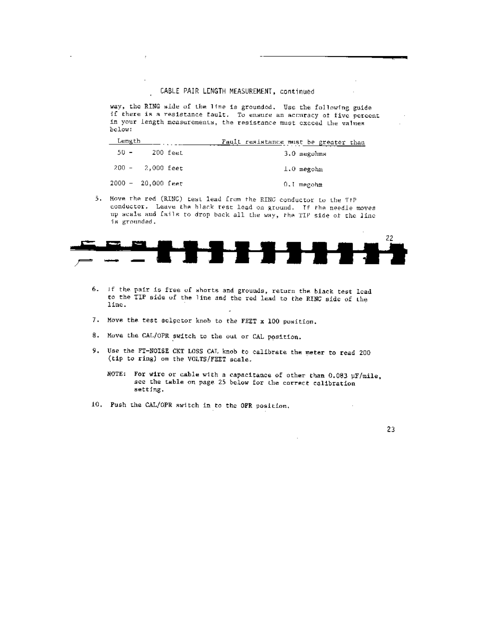way, the RING side of the line is grounded. Use the following guide if there is a resistance fault. To ensure an accuracy of five percent in your length measurements, the resistance must cxceed the values below:

| Length                 |          |  | Fault resistance must be greater than |                      |  |  |
|------------------------|----------|--|---------------------------------------|----------------------|--|--|
| $50 -$                 | 200 feet |  |                                       | $3.0$ megohms        |  |  |
| - 200 - - - 2,000 feet |          |  |                                       | $\perp$ . $0$ megohm |  |  |
| $2000 - 20,000$ feet   |          |  |                                       | 0.I megohm           |  |  |

5. Move the red (RING) test lead from the RING conductor to the TIP conductor. Leave the black test lead on ground. If the needle moves up scale and fails to drop back all the way, the TIP side of the line is grounded.

![](_page_14_Figure_4.jpeg)

- 6. If the pair is free of shorts and grounds, return the black test lead to the TIP side of the line and the red lead to the RINC side of the line.
- 7. Move the test selector knob to the FEET x 100 position.
- 8. Move the CAL/OPR switch to the out or CAL position.
- 9. Use the FT-NOISE CKT LOSS CAL knob to calibrate the meter to read 200 (tip to ring) on the VOLTS/FEET scale.
	- NOTE: For wire or cable with a capacitance of other than 0.083  $\mu$ F/mile, see the table on page 25 below for the correct calibration setting.
- 10. Push the CAL/OPR switch in to the OPR position.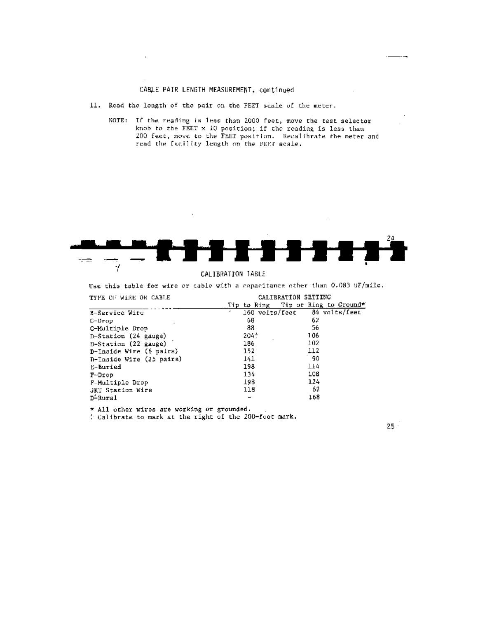# CABLE PAIR LENGTH MEASUREMENT, continued

11. Read the length of the pair on the FEET scale of the meter.

 $\boldsymbol{\cdot}$ 

NOTE: If the reading is less than 2000 feet, move the test selector knob to the FEET x 10 position; if the reading is less than 200 feet, move to the FEET position. Recalibrate the meter and read the facility length on the FEET scale.

![](_page_15_Figure_3.jpeg)

#### CALIBRATION TABLE

Use this table for wire or cable with a capacitance other than 0.083 uF/mile.

| TYPE OF WIRE OR CABLE    |                | CALIBRATION SETTING                |
|--------------------------|----------------|------------------------------------|
|                          |                | Tip to Ring Tip or Ring to Ground* |
| <b>B-Service Wire</b>    | 160 volts/feet | 84 volts/feet                      |
| C-Drop                   | 68             | 62                                 |
| C-Multiple Drop          | 88             | 56                                 |
| D-Station (24 gauge)     | $204 +$        | 106                                |
| D-Station (22 gauge)     | 186            | 102                                |
| D-Inside Wire (6 pairs)  | 152            | 112                                |
| D-Inside Wire (25 pairs) | 141            | 90.                                |
| E-Buried                 | 198            | 114                                |
| $P\neg Drop$             | 134            | 108                                |
| F-Multiple Drop          | 198            | 124                                |
| <b>JKT Station Wire</b>  | 118            | 62                                 |
| D-Rural                  |                | 168                                |

\* All other wires are working or grounded.

# Calibrate to mark at the right of the 200-foot mark,

 $25 -$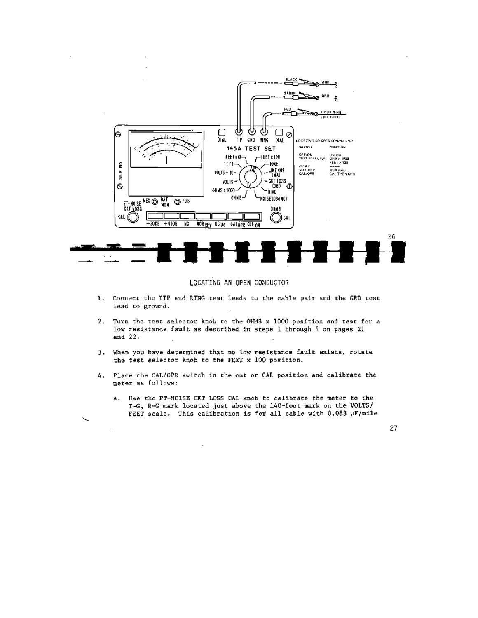![](_page_16_Figure_0.jpeg)

#### LOCATING AN OPEN CONDUCTOR

- 1. Connect the TIP and RING test leads to the cable pair and the GRD test lead to ground.
- 2. Turn the test selector knob to the OHMS x 1000 position and test for a low resistance fault as described in steps I through 4 on pages 21 and 22.
- 3. When you have determined that no low resistance fault exists, rotate the test selector knob to the FEET x 100 position.
- 4. Place the CAL/OPR switch in the out or CAL position and calibrate the meter as follows:
	- A. Use the FT-NOISE CKT LOSS CAL knob to calibrate the meter to the T-G, R-G mark located just above the 140-foot mark on the VOLTS/ FEET scale. This calibration is for all cable with 0.083 WF/mile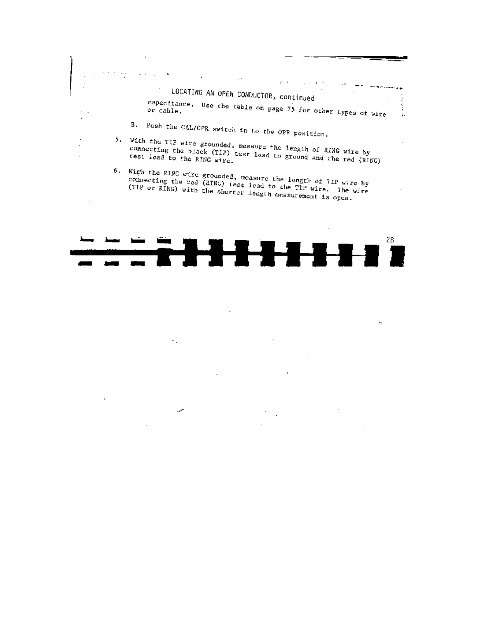# LOCATING AN OPEN CONDUCTOR, continued

capacitance. Use the table on page 25 for other types of wire

 $\omega\rightarrow$ 

 $\mathbf{v}$ 

Ä.

B. Push the CAL/OPR switch in to the OPR position.

 $\overline{\phantom{a}}$ 

 $\ddot{\phantom{a}}$ Ť 5. With the TIP wire grounded, measure the length of RING wire by connecting the black (TIP) test lead to ground and the red (RINC)

6. With the RINC wire grounded, measure the length of TIP wire by connecting the red (RING) Lest lead to the TIP wire. The wire (TIP or RING) with the shorter length measurement is open.

![](_page_17_Figure_5.jpeg)

 $\epsilon_{\rm{B}}$  .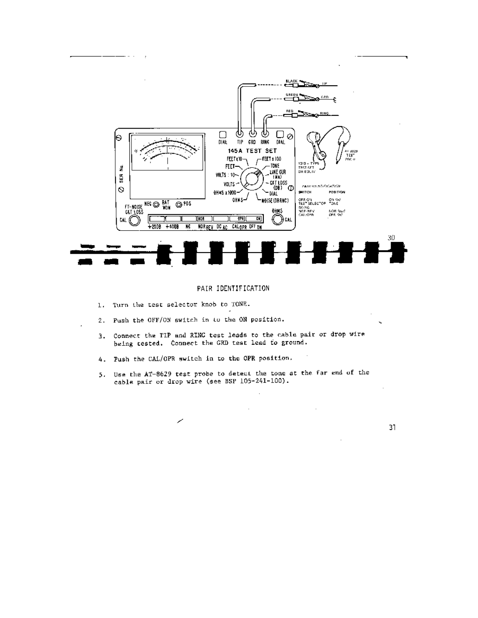![](_page_18_Figure_0.jpeg)

#### PAIR IDENTIFICATION

1. Turn the test selector knob to TONE.

l,

- - -

- 2. Push the OFF/ON switch in to the ON position.
- Connect the TIP and RING test leads to the cable pair or drop wire  $3.$ being tested. Connect the GRD test lead to ground.
- 4. Push the CAL/OPR switch in to the OPR position.
- 5. Use the AT-8629 test probe to detect the tone at the far end of the cable pair or drop wire (see BSP 105-241-100).

 $\mathcal{A}$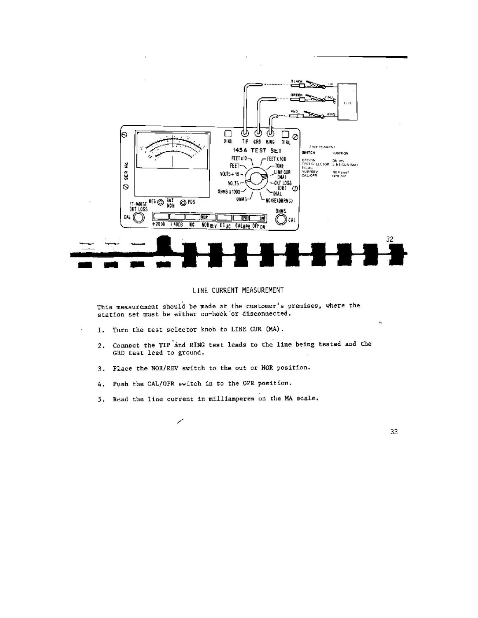![](_page_19_Figure_0.jpeg)

#### LINE CURRENT MEASUREMENT

This measurement should be made at the customer's premises, where the station set must be either on-hook or disconnected.

1. Turn the test selector knob to LINE CUR (MA).

J.

- 2. Connect the TIP and RING test leads to the line being tested and the GRD test lead to ground.
- 3. Place the NOR/REV switch to the out or NOR position.
- 4. Push the CAL/OPR switch in to the OPR position.
- 5. Read the line current in milliamperss on the MA scale.

╱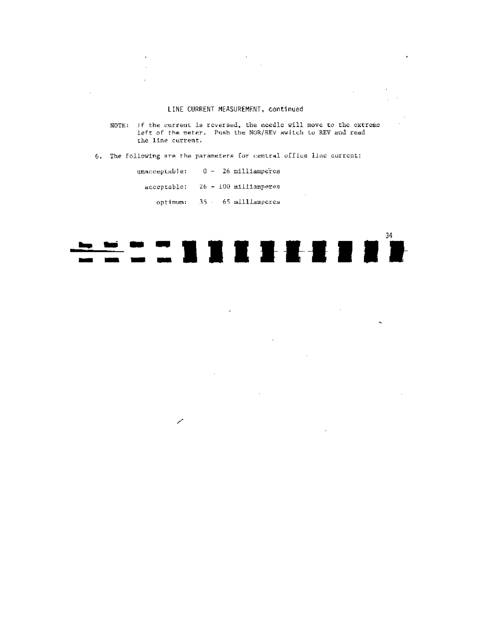#### LINE CURRENT MEASUREMENT, continued

NOTE: If the current is reversed, the needle will move to the extreme left of the meter. Push the NOR/REV switch to REV and readthe line current.

 $\alpha$  $\mathcal{L}_{\mathcal{A}}$ 

 $\sim 10^{-10}$ 

 $\sim$ 

 $\mathbf{v}_i$ 

 $\sim$ 

 $\mathcal{L}_{\mathbf{a}}$ 

 $\cdot$ 

6. The following are the parameters for central office line current:

unacceptable: 0 - 26 milliamperes acceptable: 26 - 100 milliamperes optimum: 35 - 65 milliamperes

 $\mathbf{r}$ 

 $\mathcal{L}_{\mathcal{A}}$  $\ddot{\phantom{a}}$ 

 $\sim$ 

![](_page_20_Figure_4.jpeg)

J.

 $\sim$ 

╱

 $\bar{z}$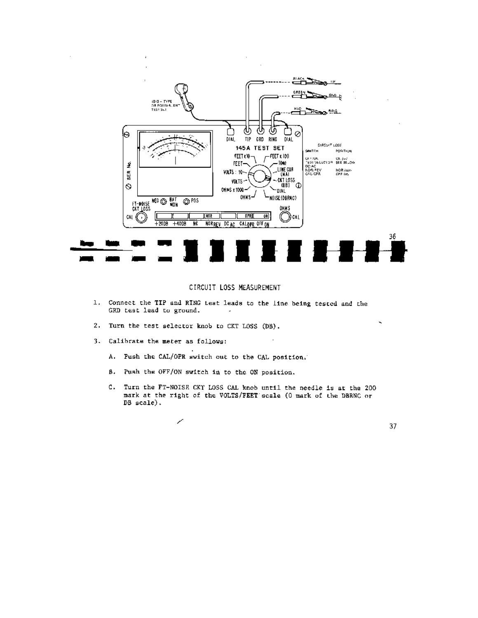![](_page_21_Figure_0.jpeg)

# CIRCUIT LOSS MEASUREMENT

- 1. Connect the TIP and RING test leads to the line being tested and the GRD test lead to ground.
- 2. Turn the test selector knob to CKT LOSS (DB).
- 3. Calibrate the meter as follows:

J.

- A. Push the CAL/OPR switch out to the CAL position.
- B. Push the OFF/ON switch in to the ON position.
- C. Turn the FT-NOISE CKT LOSS CAL knob until the needle is at the 200 mark at the right of the VOLTS/FEET scale (0 mark of the DBRNC or  $DB scale$ .

╱

37

ч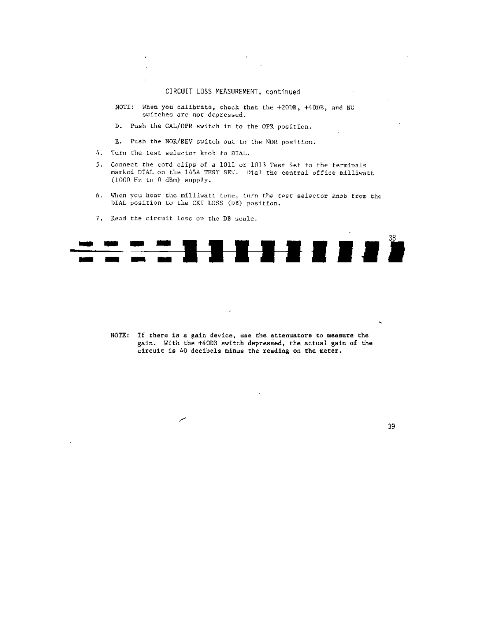# CIRCUIT LOSS MEASUREMENT, continued

- NOTE: When you calibrate, check that the +20DB, +40DB, and NG switches are not depressed.
- D. Push the CAL/OPR switch in to the OPR position.
- E. Push the NOR/REV switch out to the NOR position.
- 4. Turn the test selector knob to DIAL.

 $\overline{1}$  $\ddot{\phantom{a}}$  $\ddot{\phantom{a}}$ 

- 5. Connect the cord clips of a 1011 or 1013 Test Set to the terminals marked DIAL on the 145A TEST SET. Dial the central office milliwatt  $(1000 \text{ Hz to } 0 \text{ dBm})$  supply.
- 6. When you hear the milliwatt tone, turn the test selector knob from the DIAL position to the CKT LOSS (DB) position.
- 7. Read the circuit loss on the DB scale.

╱

 $\cdot$ 

![](_page_22_Picture_8.jpeg)

NOTE: If there is a gain device, use the attenuators to measure the gain. With the +40DB switch depressed, the actual gain of the circuit is 40 decibels minus the reading on the meter.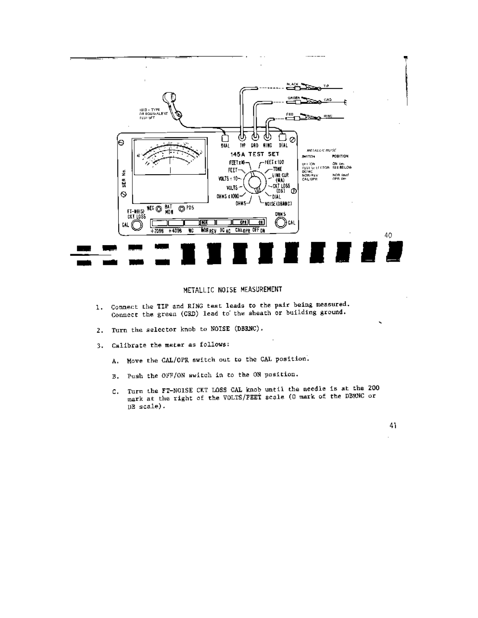![](_page_23_Figure_0.jpeg)

#### METALLIC NOISE MEASUREMENT

- 1. Connect the TIP and RING test leads to the pair being measured. Connect the green (CRD) lead to the sheath or building ground.
- 2. Turn the selector knob to NOISE (DBRNC).
- 3. Calibrate the meter as follows:
	- A. Move the CAL/OPR switch out to the CAL position.
	- B. Push the OFF/ON switch in to the ON position.
	- C. Turn the FT-NOISE CKT LOSS CAL knob until the needle is at the 200 mark at the right of the VOLTS/FEET scale (0 mark of the DBRNC or  $DB scale$ .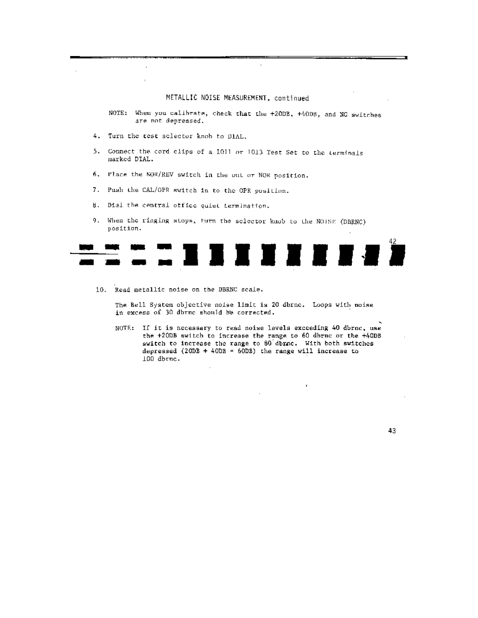#### METALLIC NOISE MEASUREMENT, continued

NOTE: When you calibrate, check that the +20DB, +40DB, and NC switches are not depressed.

- 4. Turn the test selector knob to DIAL.
- 5. Connect the cord clips of a 1011 or 1013 Test Set to the terminals marked DIAL.
- 6. Place the NOR/REV switch in the but or NOR position.
- 7. Push the CAL/OPR switch in to the OPR position.
- 8. Dial the central office quiet termination.
- 9. When the ringing stops, furn the selector knob to the NOISE (DBRNC) position.

![](_page_24_Picture_8.jpeg)

10. Read metallic noise on the DBRNC scale.

The Bell System objective noise limit is 20 dbrnc. Loops with noise in excess of 30 dbrnc should be corrected.

NOTE: If it is necessary to read noise levels exceeding 40 dbrnc, use the +200B switch to increase the range to 60 dbrnc or the +40DB switch to increase the range to 80 dbrac. With both switches depressed (200B + 40DB = 60DB) the range will increase to 100 dbrnc.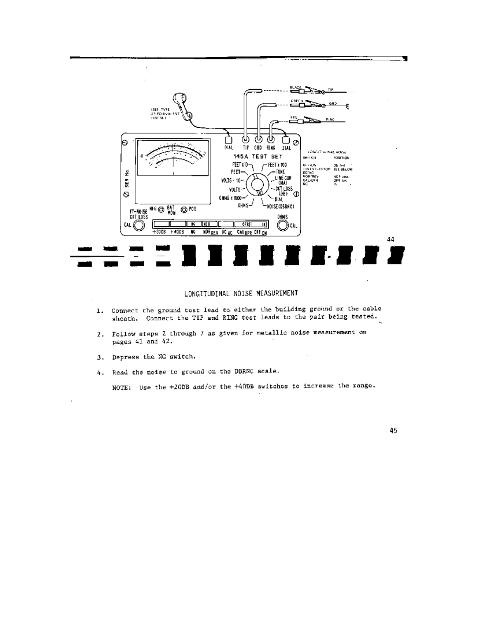![](_page_25_Figure_0.jpeg)

LONGITUDINAL NOISE MEASUREMENT

- Connect the ground test lead to either the building ground or the cable 1. sheath. Connect the TIP and RING test leads to the pair being tested.
- 2. Follow steps 2 through 7 as given for metallic noise measurement on pages 41 and 42.
- 3. Depress the NG switch.
- 4. Read the noise to ground on the DBENC scale.

NOTE: Use the +20DB and/or the +40DB switches to increase the range.